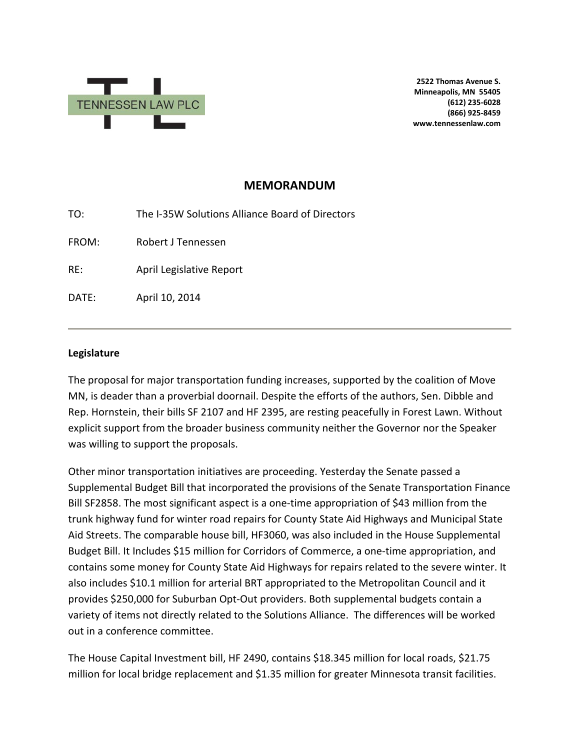

**2522 Thomas Avenue S. Minneapolis, MN 55405 (612) 235-6028 (866) 925-8459 www.tennessenlaw.com**

## **MEMORANDUM**

| TO:   | The I-35W Solutions Alliance Board of Directors |
|-------|-------------------------------------------------|
| FROM: | Robert J Tennessen                              |
| RE:   | April Legislative Report                        |
| DATE: | April 10, 2014                                  |
|       |                                                 |

## **Legislature**

The proposal for major transportation funding increases, supported by the coalition of Move MN, is deader than a proverbial doornail. Despite the efforts of the authors, Sen. Dibble and Rep. Hornstein, their bills SF 2107 and HF 2395, are resting peacefully in Forest Lawn. Without explicit support from the broader business community neither the Governor nor the Speaker was willing to support the proposals.

Other minor transportation initiatives are proceeding. Yesterday the Senate passed a Supplemental Budget Bill that incorporated the provisions of the Senate Transportation Finance Bill SF2858. The most significant aspect is a one-time appropriation of \$43 million from the trunk highway fund for winter road repairs for County State Aid Highways and Municipal State Aid Streets. The comparable house bill, HF3060, was also included in the House Supplemental Budget Bill. It Includes \$15 million for Corridors of Commerce, a one-time appropriation, and contains some money for County State Aid Highways for repairs related to the severe winter. It also includes \$10.1 million for arterial BRT appropriated to the Metropolitan Council and it provides \$250,000 for Suburban Opt-Out providers. Both supplemental budgets contain a variety of items not directly related to the Solutions Alliance. The differences will be worked out in a conference committee.

The House Capital Investment bill, HF 2490, contains \$18.345 million for local roads, \$21.75 million for local bridge replacement and \$1.35 million for greater Minnesota transit facilities.